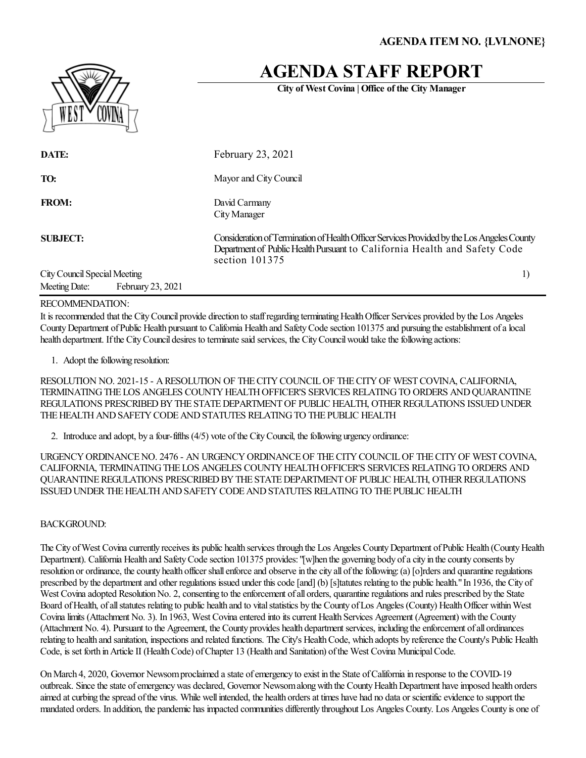# **AGENDA STAFF REPORT**

**City of West Covina | Office of the City Manager**

| ΨL<br>23 N |  |
|------------|--|

| DATE:                        |                   | February 23, 2021                                                                                                                                                                         |  |
|------------------------------|-------------------|-------------------------------------------------------------------------------------------------------------------------------------------------------------------------------------------|--|
| TO:                          |                   | Mayor and City Council                                                                                                                                                                    |  |
| <b>FROM:</b>                 |                   | David Carmany<br>City Manager                                                                                                                                                             |  |
| <b>SUBJECT:</b>              |                   | Consideration of Termination of Health Officer Services Provided by the Los Angeles County<br>Department of Public Health Pursuant to California Health and Safety Code<br>section 101375 |  |
| City Council Special Meeting |                   |                                                                                                                                                                                           |  |
| Meeting Date:                | February 23, 2021 |                                                                                                                                                                                           |  |

#### RECOMMENDATION:

It is recommended that the City Council provide direction to staff regarding terminating Health Officer Services provided by the Los Angeles County Department of Public Health pursuant to California Health and Safety Code section 101375 and pursuing the establishment of a local health department. If the City Council desires to terminate said services, the City Council would take the following actions:

1. Adopt the following resolution:

RESOLUTION NO. 2021-15 - A RESOLUTION OF THE CITY COUNCIL OF THE CITY OF WEST COVINA, CALIFORNIA, TERMINATING THE LOS ANGELES COUNTY HEALTH OFFICER'S SERVICES RELATING TO ORDERS AND QUARANTINE REGULATIONS PRESCRIBED BY THE STATE DEPARTMENT OF PUBLIC HEALTH, OTHER REGULATIONS ISSUED UNDER THE HEALTH AND SAFETY CODE AND STATUTES RELATING TO THE PUBLIC HEALTH

2. Introduce and adopt, by a four-fifths (4/5) vote of the City Council, the following urgency ordinance:

URGENCY ORDINANCE NO. 2476 - AN URGENCY ORDINANCE OF THE CITY COUNCIL OF THE CITY OF WEST COVINA, CALIFORNIA, TERMINATING THE LOS ANGELES COUNTY HEALTH OFFICER'S SERVICES RELATING TO ORDERS AND QUARANTINE REGULATIONS PRESCRIBED BY THE STATE DEPARTMENT OF PUBLIC HEALTH, OTHER REGULATIONS ISSUED UNDER THE HEALTH AND SAFETY CODE AND STATUTES RELATING TO THE PUBLIC HEALTH

### BACKGROUND:

The City of West Covina currently receives its public health services through the Los Angeles County Department of Public Health (County Health Department). California Health and Safety Code section 101375 provides: "[w]hen the governing body of a city in the county consents by resolution or ordinance, the county health officer shall enforce and observe in the city all of the following: (a) [o]rders and quarantine regulations prescribed by the department and other regulations issued under this code [and] (b) [s]tatutes relating to the public health." In 1936, the City of West Covina adopted Resolution No. 2, consenting to the enforcement of all orders, quarantine regulations and rules prescribed by the State Board of Health, of all statutes relating to public health and to vital statistics by the County of Los Angeles (County) Health Officer within West Covina limits (Attachment No. 3). In 1963, West Covina entered into its current Health Services Agreement (Agreement) with the County (Attachment No. 4). Pursuant to the Agreement, the County provides health department services, including the enforcement of all ordinances relating to health and sanitation, inspections and related functions. The City's Health Code, which adopts by reference the County's Public Health Code, is set forth in Article II (Health Code) of Chapter 13 (Health and Sanitation) of the West Covina Municipal Code.

On March 4, 2020, Governor Newsom proclaimed a state of emergency to exist in the State of California in response to the COVID-19 outbreak. Since the state of emergency was declared, Governor Newsom along with the County Health Department have imposed health orders aimed at curbing the spread of the virus. While well intended, the health orders at times have had no data or scientific evidence to support the mandated orders. In addition, the pandemic has impacted communities differently throughout Los Angeles County. Los Angeles County is one of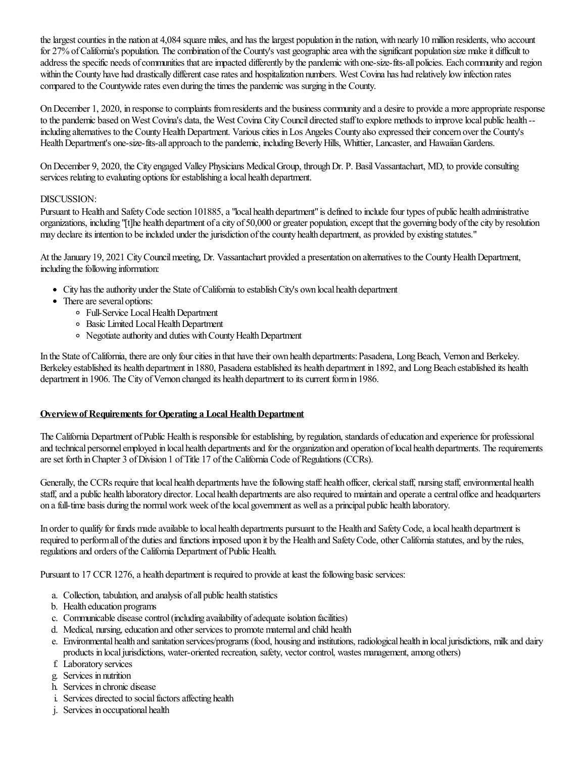the largest counties in the nation at 4,084 square miles, and has the largest population in the nation, with nearly 10 million residents, who account for 27% of California's population. The combination of the County's vast geographic area with the significant population size make it difficult to address the specific needs of communities that are impacted differently by the pandemic with one-size-fits-all policies. Each community and region within the County have had drastically different case rates and hospitalization numbers. West Covina has had relatively low infection rates compared to the Countywide rates even during the times the pandemic was surging in the County.

On December 1, 2020, in response to complaints from residents and the business community and a desire to provide a more appropriate response to the pandemic based on West Covina's data, the West Covina City Council directed staff to explore methods to improve local public health -including alternatives to the County Health Department. Various cities in Los Angeles County also expressed their concern over the County's Health Department's one-size-fits-all approach to the pandemic, including Beverly Hills, Whittier, Lancaster, and Hawaiian Gardens.

On December 9, 2020, the City engaged Valley Physicians Medical Group, through Dr. P. Basil Vassantachart, MD, to provide consulting services relating to evaluating options for establishing a local health department.

## DISCUSSION:

Pursuant to Health and Safety Code section 101885, a "local health department" is defined to include four types of public health administrative organizations, including "[t]he health department ofacity of 50,000 or greater population,except that the governing body ofthecity by resolution may declare its intention to be included under the jurisdiction of the county health department, as provided by existing statutes."

At the January 19, 2021 City Council meeting, Dr. Vassantachart provided a presentation on alternatives to the County Health Department, including the following information:

- City has the authority under the State of California to establish City's own local health department
- There are several options:
	- <sup>o</sup> Full-Service Local Health Department
	- <sup>o</sup> Basic Limited Local Health Department
	- Negotiateauthority and duties withCountyHealthDepartment

In the State of California, there are only four cities in that have their own health departments: Pasadena, Long Beach, Vernon and Berkeley. Berkeley established its health department in 1880, Pasadena established its health department in 1892, and Long Beach established its health department in 1906. The City of Vernon changed its health department to its current form in 1986.

### **Overview of Requirements for Operating a Local Health Department**

The California Department of Public Health is responsible for establishing, by regulation, standards of education and experience for professional and technical personnel employed in local health departments and for the organization and operation of local health departments. The requirements areset forth inChapter 3 ofDivision 1 ofTitle 17 ofthe California Code ofRegulations (CCRs).

Generally, the CCRs require that local health departments have the following staff: health officer, clerical staff, nursing staff, environmental health staff, and a public health laboratory director. Local health departments are also required to maintain and operate a central office and headquarters on afull-time basis during the normalwork week ofthelocal governmentas wellasa principal public health laboratory.

In order to qualify for funds made available to local health departments pursuant to the Health and Safety Code, a local health department is required to perform all of the duties and functions imposed upon it by the Health and Safety Code, other California statutes, and by the rules, regulations and orders of the California Department of Public Health.

Pursuant to 17 CCR 1276, a health department is required to provide at least the following basic services:

- a. Collection, tabulation, and analysis of all public health statistics
- b. Health education programs
- c. Communicable disease control (including availability of adequate isolation facilities)
- d. Medical, nursing, education and other services to promote maternal and child health
- e. Environmental health and sanitation services/programs (food, housing and institutions, radiological health in localjurisdictions, milk and dairy products in local jurisdictions, water-oriented recreation, safety, vector control, wastes management, among others)
- f. Laboratory services
- g. Services in nutrition
- h. Services in chronic disease
- i. Services directed to social factors affecting health
- j. Services in occupational health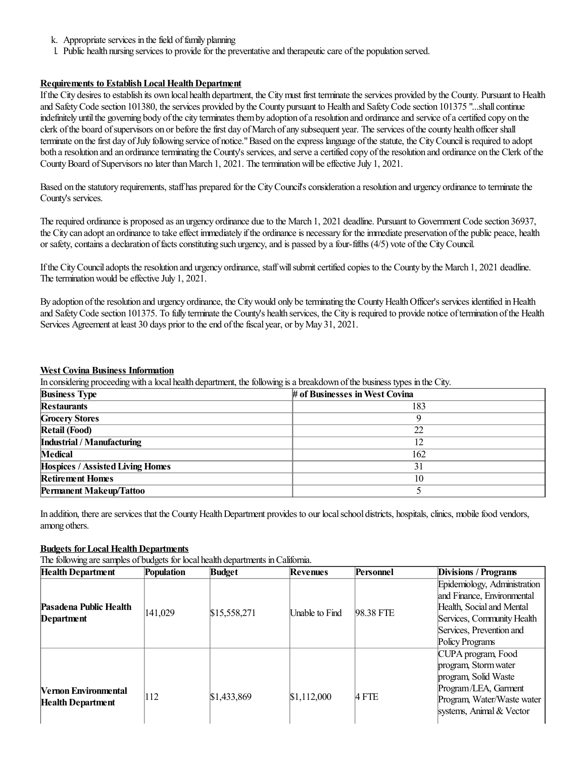- k. Appropriate services in the field of family planning
- l. Public health nursing services to providefor the preventativeand therapeuticcare ofthe population served.

## **Requirements to Establish Local Health Department**

If the City desires to establish its own local health department, the City must first terminate the services provided by the County. Pursuant to Health and Safety Code section 101380, the services provided by the County pursuant to Health and Safety Code section 101375 "...shall continue indefinitely until the governing body of the city terminates them by adoption of a resolution and ordinance and service of a certified copy on the clerk of the board of supervisors on or before the first day of March of any subsequent year. The services of the county health officer shall terminate on the first day of July following service of notice." Based on the express language of the statute, the City Council is required to adopt both a resolution and an ordinance terminating the County's services, and serve a certified copy of the resolution and ordinance on the Clerk of the County Board of Supervisors no later than March 1, 2021. The termination will be effective July 1, 2021.

Based on the statutory requirements, staff has prepared for the City Council's consideration a resolution and urgency ordinance to terminate the County's services.

The required ordinance is proposed as an urgency ordinance due to the March 1, 2021 deadline. Pursuant to Government Code section 36937, the City can adopt an ordinance to take effect immediately if the ordinance is necessary for the immediate preservation of the public peace, health or safety, contains a declaration of facts constituting such urgency, and is passed by a four-fifths (4/5) vote of the City Council.

If the City Council adopts the resolution and urgency ordinance, staff will submit certified copies to the County by the March 1, 2021 deadline. The termination would be effective July 1, 2021.

By adoption of the resolution and urgency ordinance, the City would only be terminating the County Health Officer's services identified in Health and Safety Code section 101375. To fully terminate the County's health services, the City is required to provide notice of termination of the Health Services Agreement at least 30 days prior to the end of the fiscal year, or by May 31, 2021.

### **West Covina Business Information**

In considering proceeding with a local health department, the following is a breakdown of the business types in the City.

| <b>Business Type</b>                    | # of Businesses in West Covina |
|-----------------------------------------|--------------------------------|
| <b>Restaurants</b>                      | 183                            |
| <b>Grocery Stores</b>                   |                                |
| <b>Retail (Food)</b>                    | 22                             |
| Industrial / Manufacturing              | 12                             |
| Medical                                 | 162                            |
| <b>Hospices / Assisted Living Homes</b> | 31                             |
| <b>Retirement Homes</b>                 | 10                             |
| <b>Permanent Makeup/Tattoo</b>          |                                |

In addition, there are services that the County Health Department provides to our local school districts, hospitals, clinics, mobile food vendors, among others.

## **Budgets** for Local Health Departments

The following are samples of budgets for local health departments in California.

| <b>Health Department</b>    | Population | <b>Budget</b> | Revenues              | Personnel | Divisions / Programs                                       |
|-----------------------------|------------|---------------|-----------------------|-----------|------------------------------------------------------------|
|                             |            |               |                       |           | Epidemiology, Administration<br>and Finance, Environmental |
| Pasadena Public Health      | 141,029    | \$15,558,271  | <b>Unable to Find</b> | 98.38 FTE | Health, Social and Mental                                  |
| Department                  |            |               |                       |           | Services, Community Health                                 |
|                             |            |               |                       |           | Services, Prevention and                                   |
|                             |            |               |                       |           | Policy Programs                                            |
|                             |            |               |                       |           | CUPA program, Food                                         |
|                             |            |               |                       |           | program, Storm water                                       |
|                             |            |               |                       |           | program, Solid Waste                                       |
| <b>Vernon Environmental</b> |            |               |                       |           | Program/LEA, Garment                                       |
| <b>Health Department</b>    | 112        | \$1,433,869   | \$1,112,000           | 4 FTE     | Program, Water/Waste water                                 |
|                             |            |               |                       |           | systems, Animal & Vector                                   |
|                             |            |               |                       |           |                                                            |